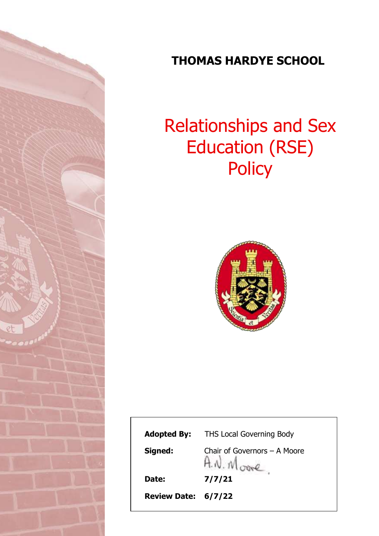

# **THOMAS HARDYE SCHOOL**

# Relationships and Sex Education (RSE) **Policy**



| <b>Adopted By:</b>  | <b>THS Local Governing Body</b> |
|---------------------|---------------------------------|
| Signed:             | Chair of Governors – A Moore    |
| Date:               | 7/7/21                          |
| Review Date: 6/7/22 |                                 |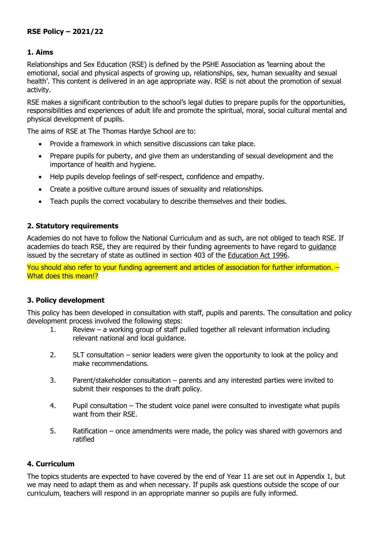# **1. Aims**

Relationships and Sex Education (RSE) is defined by the PSHE Association as 'learning about the emotional, social and physical aspects of growing up, relationships, sex, human sexuality and sexual health'. This content is delivered in an age appropriate way. RSE is not about the promotion of sexual activity.

RSE makes a significant contribution to the school's legal duties to prepare pupils for the opportunities, responsibilities and experiences of adult life and promote the spiritual, moral, social cultural mental and physical development of pupils.

The aims of RSE at The Thomas Hardye School are to:

- Provide a framework in which sensitive discussions can take place.
- Prepare pupils for puberty, and give them an understanding of sexual development and the importance of health and hygiene.
- Help pupils develop feelings of self-respect, confidence and empathy.
- Create a positive culture around issues of sexuality and relationships.
- Teach pupils the correct vocabulary to describe themselves and their bodies.

#### **2. Statutory requirements**

Academies do not have to follow the National Curriculum and as such, are not obliged to teach RSE. If academies do teach RSE, they are required by their funding agreements to have regard to guidance issued by the secretary of state as outlined in section 403 of the Education Act 1996.

You should also refer to your funding agreement and articles of association for further information. – What does this mean!?

#### **3. Policy development**

This policy has been developed in consultation with staff, pupils and parents. The consultation and policy development process involved the following steps:

- 1. Review a working group of staff pulled together all relevant information including relevant national and local guidance.
- 2. SLT consultation senior leaders were given the opportunity to look at the policy and make recommendations.
- 3. Parent/stakeholder consultation parents and any interested parties were invited to submit their responses to the draft policy.
- 4. Pupil consultation The student voice panel were consulted to investigate what pupils want from their RSE.
- 5. Ratification once amendments were made, the policy was shared with governors and ratified

#### **4. Curriculum**

The topics students are expected to have covered by the end of Year 11 are set out in Appendix 1, but we may need to adapt them as and when necessary. If pupils ask questions outside the scope of our curriculum, teachers will respond in an appropriate manner so pupils are fully informed.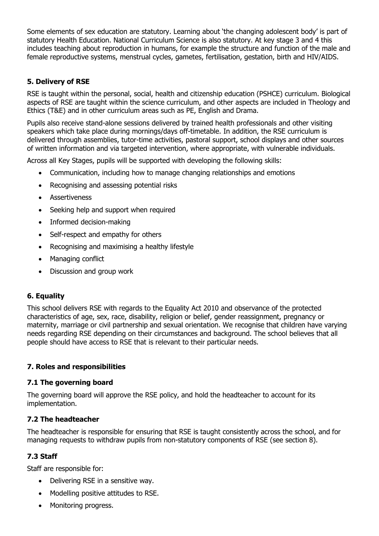Some elements of sex education are statutory. Learning about 'the changing adolescent body' is part of statutory Health Education. National Curriculum Science is also statutory. At key stage 3 and 4 this includes teaching about reproduction in humans, for example the structure and function of the male and female reproductive systems, menstrual cycles, gametes, fertilisation, gestation, birth and HIV/AIDS.

### **5. Delivery of RSE**

RSE is taught within the personal, social, health and citizenship education (PSHCE) curriculum. Biological aspects of RSE are taught within the science curriculum, and other aspects are included in Theology and Ethics (T&E) and in other curriculum areas such as PE, English and Drama.

Pupils also receive stand-alone sessions delivered by trained health professionals and other visiting speakers which take place during mornings/days off-timetable. In addition, the RSE curriculum is delivered through assemblies, tutor-time activities, pastoral support, school displays and other sources of written information and via targeted intervention, where appropriate, with vulnerable individuals.

Across all Key Stages, pupils will be supported with developing the following skills:

- Communication, including how to manage changing relationships and emotions
- Recognising and assessing potential risks
- Assertiveness
- Seeking help and support when required
- Informed decision-making
- Self-respect and empathy for others
- Recognising and maximising a healthy lifestyle
- Managing conflict
- Discussion and group work

#### **6. Equality**

This school delivers RSE with regards to the Equality Act 2010 and observance of the protected characteristics of age, sex, race, disability, religion or belief, gender reassignment, pregnancy or maternity, marriage or civil partnership and sexual orientation. We recognise that children have varying needs regarding RSE depending on their circumstances and background. The school believes that all people should have access to RSE that is relevant to their particular needs.

#### **7. Roles and responsibilities**

#### **7.1 The governing board**

The governing board will approve the RSE policy, and hold the headteacher to account for its implementation.

#### **7.2 The headteacher**

The headteacher is responsible for ensuring that RSE is taught consistently across the school, and for managing requests to withdraw pupils from non-statutory components of RSE (see section 8).

#### **7.3 Staff**

Staff are responsible for:

- Delivering RSE in a sensitive way.
- Modelling positive attitudes to RSE.
- Monitoring progress.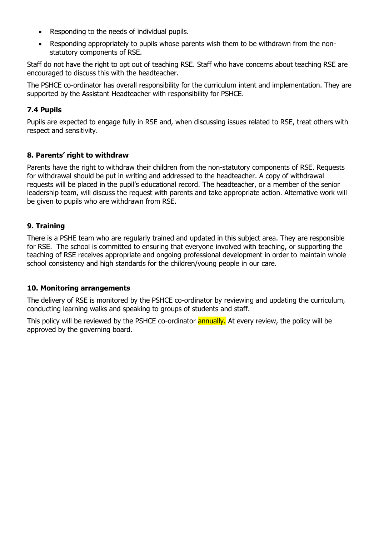- Responding to the needs of individual pupils.
- Responding appropriately to pupils whose parents wish them to be withdrawn from the nonstatutory components of RSE.

Staff do not have the right to opt out of teaching RSE. Staff who have concerns about teaching RSE are encouraged to discuss this with the headteacher.

The PSHCE co-ordinator has overall responsibility for the curriculum intent and implementation. They are supported by the Assistant Headteacher with responsibility for PSHCE.

### **7.4 Pupils**

Pupils are expected to engage fully in RSE and, when discussing issues related to RSE, treat others with respect and sensitivity.

#### **8. Parents' right to withdraw**

Parents have the right to withdraw their children from the non-statutory components of RSE. Requests for withdrawal should be put in writing and addressed to the headteacher. A copy of withdrawal requests will be placed in the pupil's educational record. The headteacher, or a member of the senior leadership team, will discuss the request with parents and take appropriate action. Alternative work will be given to pupils who are withdrawn from RSE.

#### **9. Training**

There is a PSHE team who are regularly trained and updated in this subject area. They are responsible for RSE. The school is committed to ensuring that everyone involved with teaching, or supporting the teaching of RSE receives appropriate and ongoing professional development in order to maintain whole school consistency and high standards for the children/young people in our care.

#### **10. Monitoring arrangements**

The delivery of RSE is monitored by the PSHCE co-ordinator by reviewing and updating the curriculum, conducting learning walks and speaking to groups of students and staff.

This policy will be reviewed by the PSHCE co-ordinator **annually.** At every review, the policy will be approved by the governing board.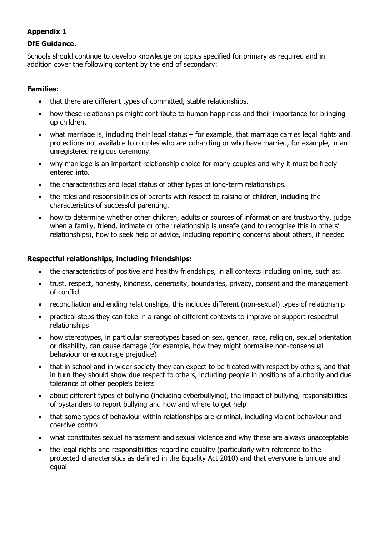# **Appendix 1**

## **DfE Guidance.**

Schools should continue to develop knowledge on topics specified for primary as required and in addition cover the following content by the end of secondary:

#### **Families:**

- that there are different types of committed, stable relationships.
- how these relationships might contribute to human happiness and their importance for bringing up children.
- what marriage is, including their legal status for example, that marriage carries legal rights and protections not available to couples who are cohabiting or who have married, for example, in an unregistered religious ceremony.
- why marriage is an important relationship choice for many couples and why it must be freely entered into.
- the characteristics and legal status of other types of long-term relationships.
- the roles and responsibilities of parents with respect to raising of children, including the characteristics of successful parenting.
- how to determine whether other children, adults or sources of information are trustworthy, judge when a family, friend, intimate or other relationship is unsafe (and to recognise this in others' relationships), how to seek help or advice, including reporting concerns about others, if needed

#### **Respectful relationships, including friendships:**

- the characteristics of positive and healthy friendships, in all contexts including online, such as:
- trust, respect, honesty, kindness, generosity, boundaries, privacy, consent and the management of conflict
- reconciliation and ending relationships, this includes different (non-sexual) types of relationship
- practical steps they can take in a range of different contexts to improve or support respectful relationships
- how stereotypes, in particular stereotypes based on sex, gender, race, religion, sexual orientation or disability, can cause damage (for example, how they might normalise non-consensual behaviour or encourage prejudice)
- that in school and in wider society they can expect to be treated with respect by others, and that in turn they should show due respect to others, including people in positions of authority and due tolerance of other people's beliefs
- about different types of bullying (including cyberbullying), the impact of bullying, responsibilities of bystanders to report bullying and how and where to get help
- that some types of behaviour within relationships are criminal, including violent behaviour and coercive control
- what constitutes sexual harassment and sexual violence and why these are always unacceptable
- the legal rights and responsibilities regarding equality (particularly with reference to the protected characteristics as defined in the Equality Act 2010) and that everyone is unique and equal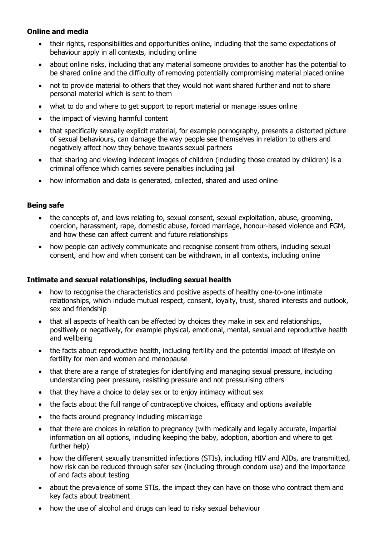#### **Online and media**

- their rights, responsibilities and opportunities online, including that the same expectations of behaviour apply in all contexts, including online
- about online risks, including that any material someone provides to another has the potential to be shared online and the difficulty of removing potentially compromising material placed online
- not to provide material to others that they would not want shared further and not to share personal material which is sent to them
- what to do and where to get support to report material or manage issues online
- the impact of viewing harmful content
- that specifically sexually explicit material, for example pornography, presents a distorted picture of sexual behaviours, can damage the way people see themselves in relation to others and negatively affect how they behave towards sexual partners
- that sharing and viewing indecent images of children (including those created by children) is a criminal offence which carries severe penalties including jail
- how information and data is generated, collected, shared and used online

#### **Being safe**

- the concepts of, and laws relating to, sexual consent, sexual exploitation, abuse, grooming, coercion, harassment, rape, domestic abuse, forced marriage, honour-based violence and FGM, and how these can affect current and future relationships
- how people can actively communicate and recognise consent from others, including sexual consent, and how and when consent can be withdrawn, in all contexts, including online

#### **Intimate and sexual relationships, including sexual health**

- how to recognise the characteristics and positive aspects of healthy one-to-one intimate relationships, which include mutual respect, consent, loyalty, trust, shared interests and outlook, sex and friendship
- that all aspects of health can be affected by choices they make in sex and relationships, positively or negatively, for example physical, emotional, mental, sexual and reproductive health and wellbeing
- the facts about reproductive health, including fertility and the potential impact of lifestyle on fertility for men and women and menopause
- that there are a range of strategies for identifying and managing sexual pressure, including understanding peer pressure, resisting pressure and not pressurising others
- that they have a choice to delay sex or to enjoy intimacy without sex
- the facts about the full range of contraceptive choices, efficacy and options available
- the facts around pregnancy including miscarriage
- that there are choices in relation to pregnancy (with medically and legally accurate, impartial information on all options, including keeping the baby, adoption, abortion and where to get further help)
- how the different sexually transmitted infections (STIs), including HIV and AIDs, are transmitted, how risk can be reduced through safer sex (including through condom use) and the importance of and facts about testing
- about the prevalence of some STIs, the impact they can have on those who contract them and key facts about treatment
- how the use of alcohol and drugs can lead to risky sexual behaviour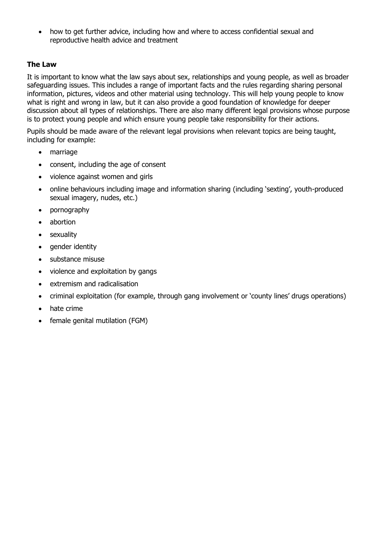how to get further advice, including how and where to access confidential sexual and reproductive health advice and treatment

#### **The Law**

It is important to know what the law says about sex, relationships and young people, as well as broader safeguarding issues. This includes a range of important facts and the rules regarding sharing personal information, pictures, videos and other material using technology. This will help young people to know what is right and wrong in law, but it can also provide a good foundation of knowledge for deeper discussion about all types of relationships. There are also many different legal provisions whose purpose is to protect young people and which ensure young people take responsibility for their actions.

Pupils should be made aware of the relevant legal provisions when relevant topics are being taught, including for example:

- marriage
- consent, including the age of consent
- violence against women and girls
- online behaviours including image and information sharing (including 'sexting', youth-produced sexual imagery, nudes, etc.)
- pornography
- abortion
- sexuality
- gender identity
- substance misuse
- violence and exploitation by gangs
- extremism and radicalisation
- criminal exploitation (for example, through gang involvement or 'county lines' drugs operations)
- hate crime
- female genital mutilation (FGM)